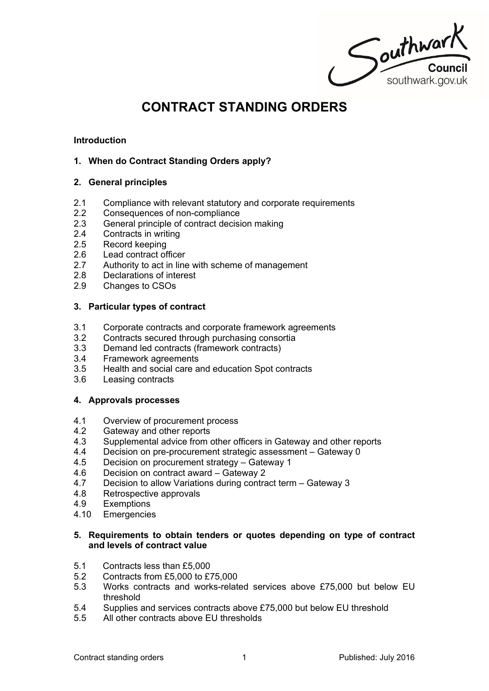Southwark

# **CONTRACT STANDING ORDERS**

## **Introduction**

# **1. When do Contract Standing Orders apply?**

## **2. General principles**

- 2.1 Compliance with relevant statutory and corporate requirements
- 2.2 Consequences of non-compliance
- 2.3 General principle of contract decision making
- 2.4 Contracts in writing
- 2.5 Record keeping
- 2.6 Lead contract officer
- 2.7 Authority to act in line with scheme of management
- 2.8 Declarations of interest
- 2.9 Changes to CSOs

## **3. Particular types of contract**

- 3.1 Corporate contracts and corporate framework agreements<br>3.2 Contracts secured through purchasing consortia
- Contracts secured through purchasing consortia
- 3.3 Demand led contracts (framework contracts)
- 3.4 Framework agreements
- 3.5 Health and social care and education Spot contracts
- 3.6 Leasing contracts

#### **4. Approvals processes**

- 4.1 Overview of procurement process
- 4.2 Gateway and other reports
- 4.3 Supplemental advice from other officers in Gateway and other reports
- 4.4 Decision on pre-procurement strategic assessment Gateway 0
- 4.5 Decision on procurement strategy Gateway 1
- 4.6 Decision on contract award Gateway 2<br>4.7 Decision to allow Variations during contra
- Decision to allow Variations during contract term Gateway 3
- 4.8 Retrospective approvals
- 4.9 Exemptions
- 4.10 Emergencies

## **5. Requirements to obtain tenders or quotes depending on type of contract and levels of contract value**

- 5.1 Contracts less than £5,000
- 5.2 Contracts from £5,000 to £75,000
- 5.3 Works contracts and works-related services above £75,000 but below EU threshold
- 5.4 Supplies and services contracts above £75,000 but below EU threshold
- 5.5 All other contracts above EU thresholds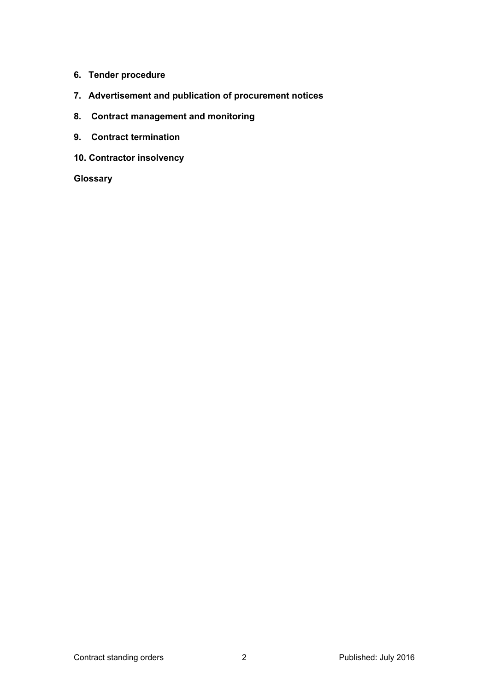- **6. Tender procedure**
- **7. Advertisement and publication of procurement notices**
- **8. Contract management and monitoring**
- **9. Contract termination**
- **10. Contractor insolvency**

**Glossary**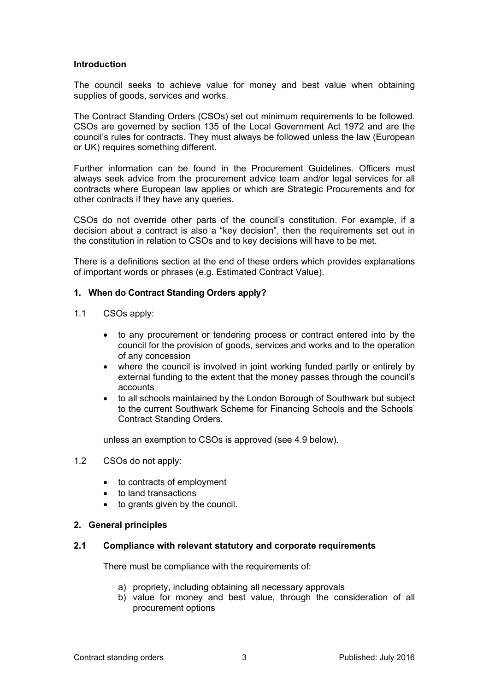#### **Introduction**

The council seeks to achieve value for money and best value when obtaining supplies of goods, services and works.

The Contract Standing Orders (CSOs) set out minimum requirements to be followed. CSOs are governed by section 135 of the Local Government Act 1972 and are the council's rules for contracts. They must always be followed unless the law (European or UK) requires something different.

Further information can be found in the Procurement Guidelines. Officers must always seek advice from the procurement advice team and/or legal services for all contracts where European law applies or which are Strategic Procurements and for other contracts if they have any queries.

CSOs do not override other parts of the council's constitution. For example, if a decision about a contract is also a "key decision", then the requirements set out in the constitution in relation to CSOs and to key decisions will have to be met.

There is a definitions section at the end of these orders which provides explanations of important words or phrases (e.g. Estimated Contract Value).

## **1. When do Contract Standing Orders apply?**

- 1.1 CSOs apply:
	- to any procurement or tendering process or contract entered into by the council for the provision of goods, services and works and to the operation of any concession
	- where the council is involved in joint working funded partly or entirely by external funding to the extent that the money passes through the council's accounts
	- to all schools maintained by the London Borough of Southwark but subject to the current Southwark Scheme for Financing Schools and the Schools' Contract Standing Orders.

unless an exemption to CSOs is approved (see 4.9 below).

#### 1.2 CSOs do not apply:

- to contracts of employment
- to land transactions
- to grants given by the council.

#### **2. General principles**

#### **2.1 Compliance with relevant statutory and corporate requirements**

There must be compliance with the requirements of:

- a) propriety, including obtaining all necessary approvals
- b) value for money and best value, through the consideration of all procurement options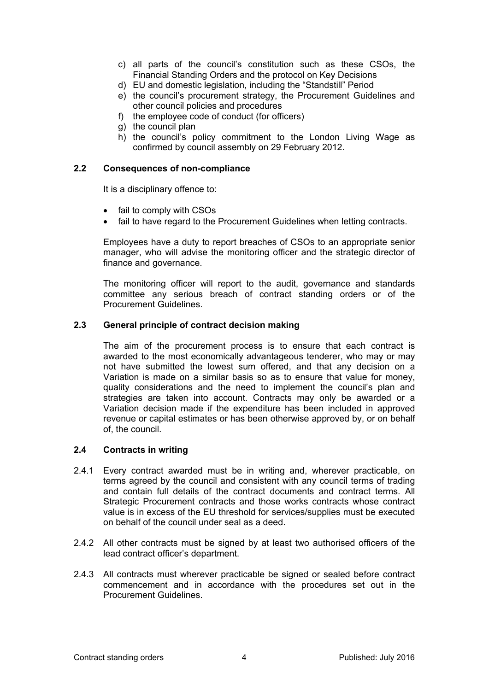- c) all parts of the council's constitution such as these CSOs, the Financial Standing Orders and the protocol on Key Decisions
- d) EU and domestic legislation, including the "Standstill" Period
- e) the council's procurement strategy, the Procurement Guidelines and other council policies and procedures
- f) the employee code of conduct (for officers)
- g) the council plan
- h) the council's policy commitment to the London Living Wage as confirmed by council assembly on 29 February 2012.

## **2.2 Consequences of non-compliance**

It is a disciplinary offence to:

- fail to comply with CSOs
- fail to have regard to the Procurement Guidelines when letting contracts.

Employees have a duty to report breaches of CSOs to an appropriate senior manager, who will advise the monitoring officer and the strategic director of finance and governance.

The monitoring officer will report to the audit, governance and standards committee any serious breach of contract standing orders or of the Procurement Guidelines.

## **2.3 General principle of contract decision making**

The aim of the procurement process is to ensure that each contract is awarded to the most economically advantageous tenderer, who may or may not have submitted the lowest sum offered, and that any decision on a Variation is made on a similar basis so as to ensure that value for money, quality considerations and the need to implement the council's plan and strategies are taken into account. Contracts may only be awarded or a Variation decision made if the expenditure has been included in approved revenue or capital estimates or has been otherwise approved by, or on behalf of, the council.

#### **2.4 Contracts in writing**

- 2.4.1 Every contract awarded must be in writing and, wherever practicable, on terms agreed by the council and consistent with any council terms of trading and contain full details of the contract documents and contract terms. All Strategic Procurement contracts and those works contracts whose contract value is in excess of the EU threshold for services/supplies must be executed on behalf of the council under seal as a deed.
- 2.4.2 All other contracts must be signed by at least two authorised officers of the lead contract officer's department.
- 2.4.3 All contracts must wherever practicable be signed or sealed before contract commencement and in accordance with the procedures set out in the Procurement Guidelines.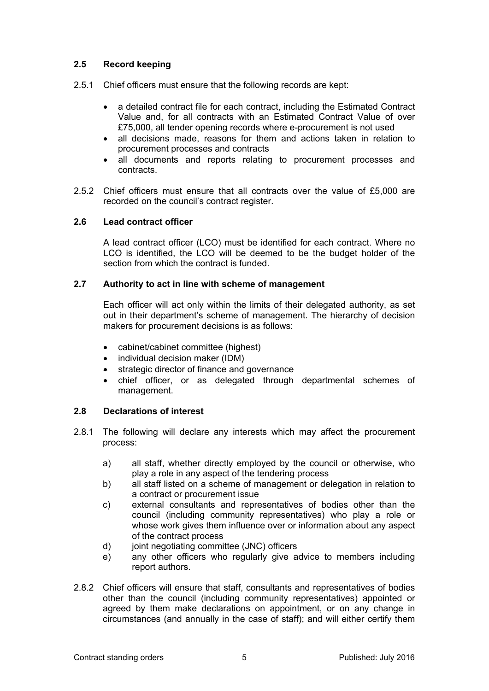# **2.5 Record keeping**

- 2.5.1 Chief officers must ensure that the following records are kept:
	- a detailed contract file for each contract, including the Estimated Contract Value and, for all contracts with an Estimated Contract Value of over £75,000, all tender opening records where e-procurement is not used
	- all decisions made, reasons for them and actions taken in relation to procurement processes and contracts
	- all documents and reports relating to procurement processes and contracts.
- 2.5.2 Chief officers must ensure that all contracts over the value of £5,000 are recorded on the council's contract register.

## **2.6 Lead contract officer**

A lead contract officer (LCO) must be identified for each contract. Where no LCO is identified, the LCO will be deemed to be the budget holder of the section from which the contract is funded.

## **2.7 Authority to act in line with scheme of management**

Each officer will act only within the limits of their delegated authority, as set out in their department's scheme of management. The hierarchy of decision makers for procurement decisions is as follows:

- cabinet/cabinet committee (highest)
- individual decision maker (IDM)
- strategic director of finance and governance
- chief officer, or as delegated through departmental schemes of management.

# **2.8 Declarations of interest**

- 2.8.1 The following will declare any interests which may affect the procurement process:
	- a) all staff, whether directly employed by the council or otherwise, who play a role in any aspect of the tendering process
	- b) all staff listed on a scheme of management or delegation in relation to a contract or procurement issue
	- c) external consultants and representatives of bodies other than the council (including community representatives) who play a role or whose work gives them influence over or information about any aspect of the contract process
	- d) joint negotiating committee (JNC) officers
	- e) any other officers who regularly give advice to members including report authors.
- 2.8.2 Chief officers will ensure that staff, consultants and representatives of bodies other than the council (including community representatives) appointed or agreed by them make declarations on appointment, or on any change in circumstances (and annually in the case of staff); and will either certify them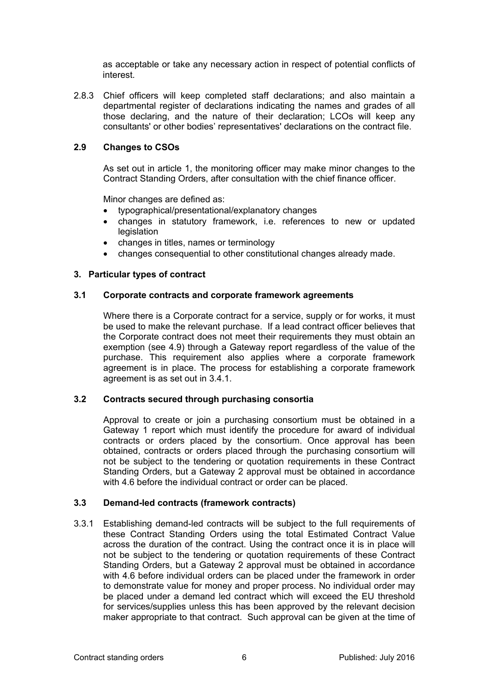as acceptable or take any necessary action in respect of potential conflicts of interest.

2.8.3 Chief officers will keep completed staff declarations; and also maintain a departmental register of declarations indicating the names and grades of all those declaring, and the nature of their declaration; LCOs will keep any consultants' or other bodies' representatives' declarations on the contract file.

# **2.9 Changes to CSOs**

As set out in article 1, the monitoring officer may make minor changes to the Contract Standing Orders, after consultation with the chief finance officer.

Minor changes are defined as:

- typographical/presentational/explanatory changes
- changes in statutory framework, i.e. references to new or updated **legislation**
- changes in titles, names or terminology
- changes consequential to other constitutional changes already made.

## **3. Particular types of contract**

## **3.1 Corporate contracts and corporate framework agreements**

Where there is a Corporate contract for a service, supply or for works, it must be used to make the relevant purchase. If a lead contract officer believes that the Corporate contract does not meet their requirements they must obtain an exemption (see 4.9) through a Gateway report regardless of the value of the purchase. This requirement also applies where a corporate framework agreement is in place. The process for establishing a corporate framework agreement is as set out in 3.4.1.

# **3.2 Contracts secured through purchasing consortia**

Approval to create or join a purchasing consortium must be obtained in a Gateway 1 report which must identify the procedure for award of individual contracts or orders placed by the consortium. Once approval has been obtained, contracts or orders placed through the purchasing consortium will not be subject to the tendering or quotation requirements in these Contract Standing Orders, but a Gateway 2 approval must be obtained in accordance with 4.6 before the individual contract or order can be placed.

# **3.3 Demand-led contracts (framework contracts)**

3.3.1 Establishing demand-led contracts will be subject to the full requirements of these Contract Standing Orders using the total Estimated Contract Value across the duration of the contract. Using the contract once it is in place will not be subject to the tendering or quotation requirements of these Contract Standing Orders, but a Gateway 2 approval must be obtained in accordance with 4.6 before individual orders can be placed under the framework in order to demonstrate value for money and proper process. No individual order may be placed under a demand led contract which will exceed the EU threshold for services/supplies unless this has been approved by the relevant decision maker appropriate to that contract. Such approval can be given at the time of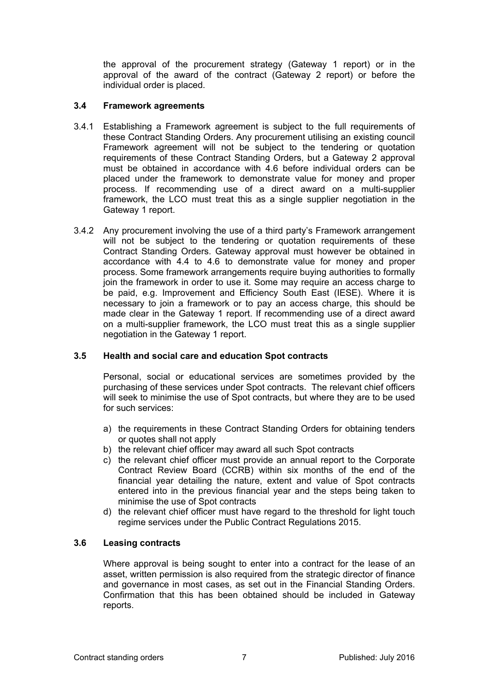the approval of the procurement strategy (Gateway 1 report) or in the approval of the award of the contract (Gateway 2 report) or before the individual order is placed.

# **3.4 Framework agreements**

- 3.4.1 Establishing a Framework agreement is subject to the full requirements of these Contract Standing Orders. Any procurement utilising an existing council Framework agreement will not be subject to the tendering or quotation requirements of these Contract Standing Orders, but a Gateway 2 approval must be obtained in accordance with 4.6 before individual orders can be placed under the framework to demonstrate value for money and proper process. If recommending use of a direct award on a multi-supplier framework, the LCO must treat this as a single supplier negotiation in the Gateway 1 report.
- 3.4.2 Any procurement involving the use of a third party's Framework arrangement will not be subject to the tendering or quotation requirements of these Contract Standing Orders. Gateway approval must however be obtained in accordance with 4.4 to 4.6 to demonstrate value for money and proper process. Some framework arrangements require buying authorities to formally join the framework in order to use it. Some may require an access charge to be paid, e.g. Improvement and Efficiency South East (IESE). Where it is necessary to join a framework or to pay an access charge, this should be made clear in the Gateway 1 report. If recommending use of a direct award on a multi-supplier framework, the LCO must treat this as a single supplier negotiation in the Gateway 1 report.

# **3.5 Health and social care and education Spot contracts**

Personal, social or educational services are sometimes provided by the purchasing of these services under Spot contracts. The relevant chief officers will seek to minimise the use of Spot contracts, but where they are to be used for such services:

- a) the requirements in these Contract Standing Orders for obtaining tenders or quotes shall not apply
- b) the relevant chief officer may award all such Spot contracts
- c) the relevant chief officer must provide an annual report to the Corporate Contract Review Board (CCRB) within six months of the end of the financial year detailing the nature, extent and value of Spot contracts entered into in the previous financial year and the steps being taken to minimise the use of Spot contracts
- d) the relevant chief officer must have regard to the threshold for light touch regime services under the Public Contract Regulations 2015.

# **3.6 Leasing contracts**

Where approval is being sought to enter into a contract for the lease of an asset, written permission is also required from the strategic director of finance and governance in most cases, as set out in the Financial Standing Orders. Confirmation that this has been obtained should be included in Gateway reports.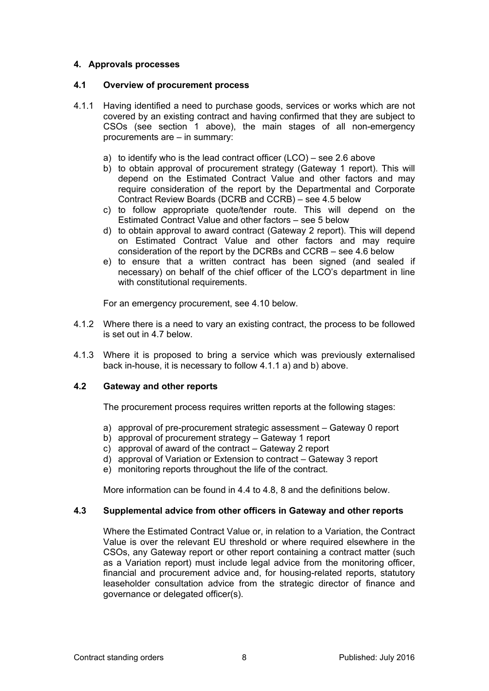# **4. Approvals processes**

## **4.1 Overview of procurement process**

- 4.1.1 Having identified a need to purchase goods, services or works which are not covered by an existing contract and having confirmed that they are subject to CSOs (see section 1 above), the main stages of all non-emergency procurements are – in summary:
	- a) to identify who is the lead contract officer (LCO) see 2.6 above
	- b) to obtain approval of procurement strategy (Gateway 1 report). This will depend on the Estimated Contract Value and other factors and may require consideration of the report by the Departmental and Corporate Contract Review Boards (DCRB and CCRB) – see 4.5 below
	- c) to follow appropriate quote/tender route. This will depend on the Estimated Contract Value and other factors – see 5 below
	- d) to obtain approval to award contract (Gateway 2 report). This will depend on Estimated Contract Value and other factors and may require consideration of the report by the DCRBs and CCRB – see 4.6 below
	- e) to ensure that a written contract has been signed (and sealed if necessary) on behalf of the chief officer of the LCO's department in line with constitutional requirements.

For an emergency procurement, see 4.10 below.

- 4.1.2 Where there is a need to vary an existing contract, the process to be followed is set out in 4.7 below.
- 4.1.3 Where it is proposed to bring a service which was previously externalised back in-house, it is necessary to follow 4.1.1 a) and b) above.

# **4.2 Gateway and other reports**

The procurement process requires written reports at the following stages:

- a) approval of pre-procurement strategic assessment Gateway 0 report
- b) approval of procurement strategy Gateway 1 report
- c) approval of award of the contract Gateway 2 report
- d) approval of Variation or Extension to contract Gateway 3 report
- e) monitoring reports throughout the life of the contract.

More information can be found in 4.4 to 4.8, 8 and the definitions below.

# **4.3 Supplemental advice from other officers in Gateway and other reports**

Where the Estimated Contract Value or, in relation to a Variation, the Contract Value is over the relevant EU threshold or where required elsewhere in the CSOs, any Gateway report or other report containing a contract matter (such as a Variation report) must include legal advice from the monitoring officer, financial and procurement advice and, for housing-related reports, statutory leaseholder consultation advice from the strategic director of finance and governance or delegated officer(s).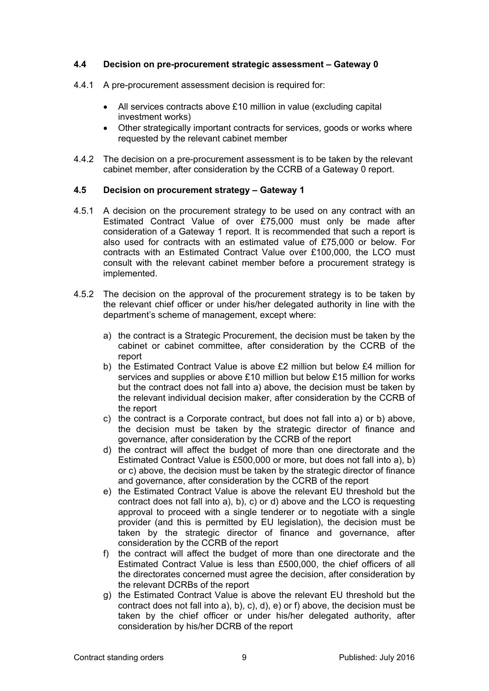# **4.4 Decision on pre-procurement strategic assessment – Gateway 0**

- 4.4.1 A pre-procurement assessment decision is required for:
	- All services contracts above £10 million in value (excluding capital investment works)
	- Other strategically important contracts for services, goods or works where requested by the relevant cabinet member
- 4.4.2 The decision on a pre-procurement assessment is to be taken by the relevant cabinet member, after consideration by the CCRB of a Gateway 0 report.

# **4.5 Decision on procurement strategy – Gateway 1**

- 4.5.1 A decision on the procurement strategy to be used on any contract with an Estimated Contract Value of over £75,000 must only be made after consideration of a Gateway 1 report. It is recommended that such a report is also used for contracts with an estimated value of £75,000 or below. For contracts with an Estimated Contract Value over £100,000, the LCO must consult with the relevant cabinet member before a procurement strategy is implemented.
- 4.5.2 The decision on the approval of the procurement strategy is to be taken by the relevant chief officer or under his/her delegated authority in line with the department's scheme of management, except where:
	- a) the contract is a Strategic Procurement, the decision must be taken by the cabinet or cabinet committee, after consideration by the CCRB of the report
	- b) the Estimated Contract Value is above £2 million but below £4 million for services and supplies or above £10 million but below £15 million for works but the contract does not fall into a) above, the decision must be taken by the relevant individual decision maker, after consideration by the CCRB of the report
	- c) the contract is a Corporate contract, but does not fall into a) or b) above, the decision must be taken by the strategic director of finance and governance, after consideration by the CCRB of the report
	- d) the contract will affect the budget of more than one directorate and the Estimated Contract Value is £500,000 or more, but does not fall into a), b) or c) above, the decision must be taken by the strategic director of finance and governance, after consideration by the CCRB of the report
	- e) the Estimated Contract Value is above the relevant EU threshold but the contract does not fall into a), b), c) or d) above and the LCO is requesting approval to proceed with a single tenderer or to negotiate with a single provider (and this is permitted by EU legislation), the decision must be taken by the strategic director of finance and governance, after consideration by the CCRB of the report
	- f) the contract will affect the budget of more than one directorate and the Estimated Contract Value is less than £500,000, the chief officers of all the directorates concerned must agree the decision, after consideration by the relevant DCRBs of the report
	- g) the Estimated Contract Value is above the relevant EU threshold but the contract does not fall into a), b), c), d), e) or f) above, the decision must be taken by the chief officer or under his/her delegated authority, after consideration by his/her DCRB of the report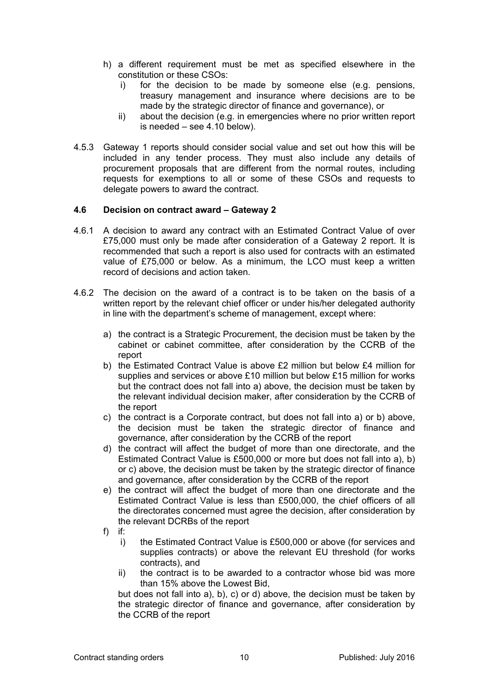- h) a different requirement must be met as specified elsewhere in the constitution or these CSOs:
	- i) for the decision to be made by someone else (e.g. pensions, treasury management and insurance where decisions are to be made by the strategic director of finance and governance), or
	- ii) about the decision (e.g. in emergencies where no prior written report is needed – see 4.10 below).
- 4.5.3 Gateway 1 reports should consider social value and set out how this will be included in any tender process. They must also include any details of procurement proposals that are different from the normal routes, including requests for exemptions to all or some of these CSOs and requests to delegate powers to award the contract.

## **4.6 Decision on contract award – Gateway 2**

- 4.6.1 A decision to award any contract with an Estimated Contract Value of over £75,000 must only be made after consideration of a Gateway 2 report. It is recommended that such a report is also used for contracts with an estimated value of £75,000 or below. As a minimum, the LCO must keep a written record of decisions and action taken.
- 4.6.2 The decision on the award of a contract is to be taken on the basis of a written report by the relevant chief officer or under his/her delegated authority in line with the department's scheme of management, except where:
	- a) the contract is a Strategic Procurement, the decision must be taken by the cabinet or cabinet committee, after consideration by the CCRB of the report
	- b) the Estimated Contract Value is above £2 million but below £4 million for supplies and services or above £10 million but below £15 million for works but the contract does not fall into a) above, the decision must be taken by the relevant individual decision maker, after consideration by the CCRB of the report
	- c) the contract is a Corporate contract, but does not fall into a) or b) above, the decision must be taken the strategic director of finance and governance, after consideration by the CCRB of the report
	- d) the contract will affect the budget of more than one directorate, and the Estimated Contract Value is £500,000 or more but does not fall into a), b) or c) above, the decision must be taken by the strategic director of finance and governance, after consideration by the CCRB of the report
	- e) the contract will affect the budget of more than one directorate and the Estimated Contract Value is less than £500,000, the chief officers of all the directorates concerned must agree the decision, after consideration by the relevant DCRBs of the report
	- f) if:
		- i) the Estimated Contract Value is £500,000 or above (for services and supplies contracts) or above the relevant EU threshold (for works contracts), and
		- ii) the contract is to be awarded to a contractor whose bid was more than 15% above the Lowest Bid,

but does not fall into a), b), c) or d) above, the decision must be taken by the strategic director of finance and governance, after consideration by the CCRB of the report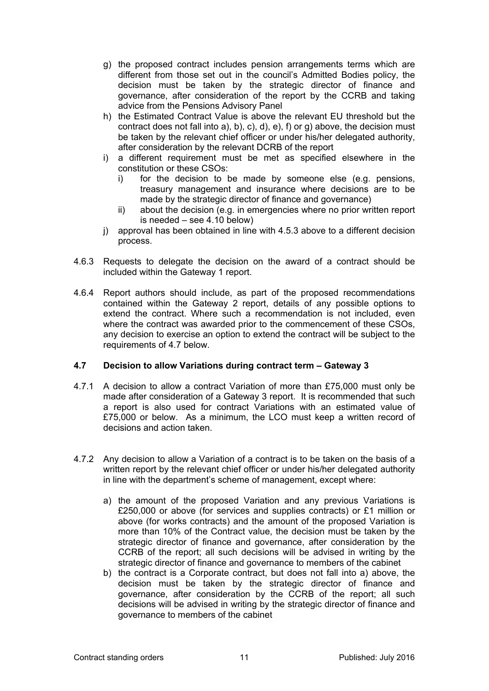- g) the proposed contract includes pension arrangements terms which are different from those set out in the council's Admitted Bodies policy, the decision must be taken by the strategic director of finance and governance, after consideration of the report by the CCRB and taking advice from the Pensions Advisory Panel
- h) the Estimated Contract Value is above the relevant EU threshold but the contract does not fall into a), b), c), d), e), f) or g) above, the decision must be taken by the relevant chief officer or under his/her delegated authority, after consideration by the relevant DCRB of the report
- i) a different requirement must be met as specified elsewhere in the constitution or these CSOs:
	- i) for the decision to be made by someone else (e.g. pensions, treasury management and insurance where decisions are to be made by the strategic director of finance and governance)
	- ii) about the decision (e.g. in emergencies where no prior written report is needed – see 4.10 below)
- j) approval has been obtained in line with 4.5.3 above to a different decision process.
- 4.6.3 Requests to delegate the decision on the award of a contract should be included within the Gateway 1 report.
- 4.6.4 Report authors should include, as part of the proposed recommendations contained within the Gateway 2 report, details of any possible options to extend the contract. Where such a recommendation is not included, even where the contract was awarded prior to the commencement of these CSOs, any decision to exercise an option to extend the contract will be subject to the requirements of 4.7 below.

# **4.7 Decision to allow Variations during contract term – Gateway 3**

- 4.7.1 A decision to allow a contract Variation of more than £75,000 must only be made after consideration of a Gateway 3 report. It is recommended that such a report is also used for contract Variations with an estimated value of £75,000 or below. As a minimum, the LCO must keep a written record of decisions and action taken.
- 4.7.2 Any decision to allow a Variation of a contract is to be taken on the basis of a written report by the relevant chief officer or under his/her delegated authority in line with the department's scheme of management, except where:
	- a) the amount of the proposed Variation and any previous Variations is £250,000 or above (for services and supplies contracts) or £1 million or above (for works contracts) and the amount of the proposed Variation is more than 10% of the Contract value, the decision must be taken by the strategic director of finance and governance, after consideration by the CCRB of the report; all such decisions will be advised in writing by the strategic director of finance and governance to members of the cabinet
	- b) the contract is a Corporate contract, but does not fall into a) above, the decision must be taken by the strategic director of finance and governance, after consideration by the CCRB of the report; all such decisions will be advised in writing by the strategic director of finance and governance to members of the cabinet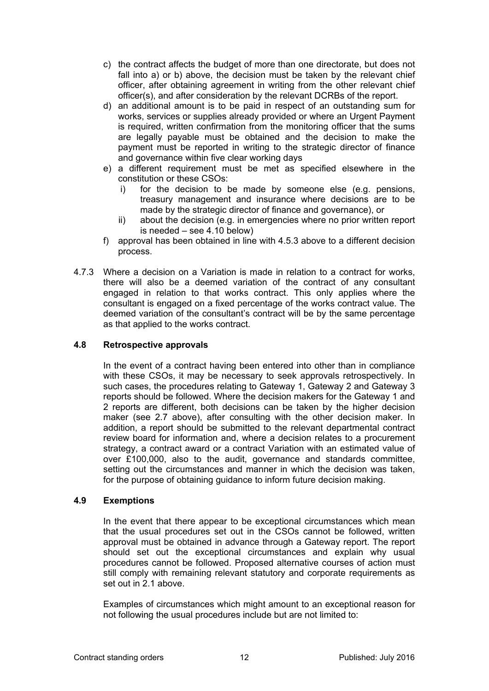- c) the contract affects the budget of more than one directorate, but does not fall into a) or b) above, the decision must be taken by the relevant chief officer, after obtaining agreement in writing from the other relevant chief officer(s), and after consideration by the relevant DCRBs of the report.
- d) an additional amount is to be paid in respect of an outstanding sum for works, services or supplies already provided or where an Urgent Payment is required, written confirmation from the monitoring officer that the sums are legally payable must be obtained and the decision to make the payment must be reported in writing to the strategic director of finance and governance within five clear working days
- e) a different requirement must be met as specified elsewhere in the constitution or these CSOs:
	- i) for the decision to be made by someone else (e.g. pensions, treasury management and insurance where decisions are to be made by the strategic director of finance and governance), or
	- ii) about the decision (e.g. in emergencies where no prior written report is needed – see 4.10 below)
- f) approval has been obtained in line with 4.5.3 above to a different decision process.
- 4.7.3 Where a decision on a Variation is made in relation to a contract for works, there will also be a deemed variation of the contract of any consultant engaged in relation to that works contract. This only applies where the consultant is engaged on a fixed percentage of the works contract value. The deemed variation of the consultant's contract will be by the same percentage as that applied to the works contract.

# **4.8 Retrospective approvals**

In the event of a contract having been entered into other than in compliance with these CSOs, it may be necessary to seek approvals retrospectively. In such cases, the procedures relating to Gateway 1, Gateway 2 and Gateway 3 reports should be followed. Where the decision makers for the Gateway 1 and 2 reports are different, both decisions can be taken by the higher decision maker (see 2.7 above), after consulting with the other decision maker. In addition, a report should be submitted to the relevant departmental contract review board for information and, where a decision relates to a procurement strategy, a contract award or a contract Variation with an estimated value of over £100,000, also to the audit, governance and standards committee, setting out the circumstances and manner in which the decision was taken, for the purpose of obtaining guidance to inform future decision making.

# **4.9 Exemptions**

In the event that there appear to be exceptional circumstances which mean that the usual procedures set out in the CSOs cannot be followed, written approval must be obtained in advance through a Gateway report. The report should set out the exceptional circumstances and explain why usual procedures cannot be followed. Proposed alternative courses of action must still comply with remaining relevant statutory and corporate requirements as set out in 2.1 above

Examples of circumstances which might amount to an exceptional reason for not following the usual procedures include but are not limited to: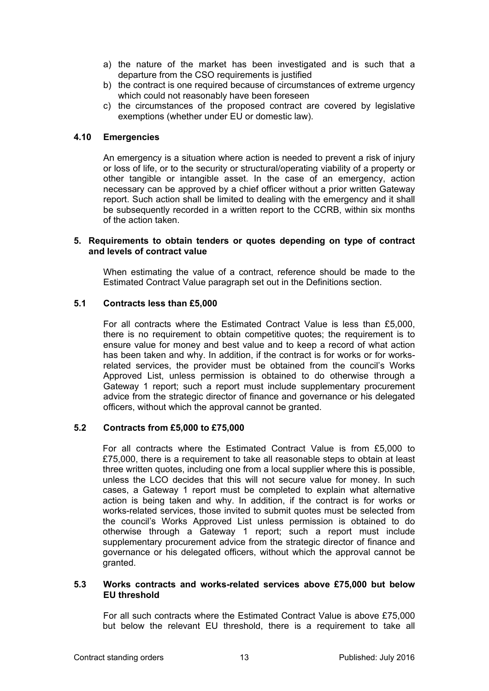- a) the nature of the market has been investigated and is such that a departure from the CSO requirements is justified
- b) the contract is one required because of circumstances of extreme urgency which could not reasonably have been foreseen
- c) the circumstances of the proposed contract are covered by legislative exemptions (whether under EU or domestic law).

## **4.10 Emergencies**

An emergency is a situation where action is needed to prevent a risk of injury or loss of life, or to the security or structural/operating viability of a property or other tangible or intangible asset. In the case of an emergency, action necessary can be approved by a chief officer without a prior written Gateway report. Such action shall be limited to dealing with the emergency and it shall be subsequently recorded in a written report to the CCRB, within six months of the action taken.

#### **5. Requirements to obtain tenders or quotes depending on type of contract and levels of contract value**

When estimating the value of a contract, reference should be made to the Estimated Contract Value paragraph set out in the Definitions section.

# **5.1 Contracts less than £5,000**

For all contracts where the Estimated Contract Value is less than £5,000, there is no requirement to obtain competitive quotes; the requirement is to ensure value for money and best value and to keep a record of what action has been taken and why. In addition, if the contract is for works or for worksrelated services, the provider must be obtained from the council's Works Approved List, unless permission is obtained to do otherwise through a Gateway 1 report; such a report must include supplementary procurement advice from the strategic director of finance and governance or his delegated officers, without which the approval cannot be granted.

## **5.2 Contracts from £5,000 to £75,000**

For all contracts where the Estimated Contract Value is from £5,000 to £75,000, there is a requirement to take all reasonable steps to obtain at least three written quotes, including one from a local supplier where this is possible, unless the LCO decides that this will not secure value for money. In such cases, a Gateway 1 report must be completed to explain what alternative action is being taken and why. In addition, if the contract is for works or works-related services, those invited to submit quotes must be selected from the council's Works Approved List unless permission is obtained to do otherwise through a Gateway 1 report; such a report must include supplementary procurement advice from the strategic director of finance and governance or his delegated officers, without which the approval cannot be granted.

## **5.3 Works contracts and works-related services above £75,000 but below EU threshold**

For all such contracts where the Estimated Contract Value is above £75,000 but below the relevant EU threshold, there is a requirement to take all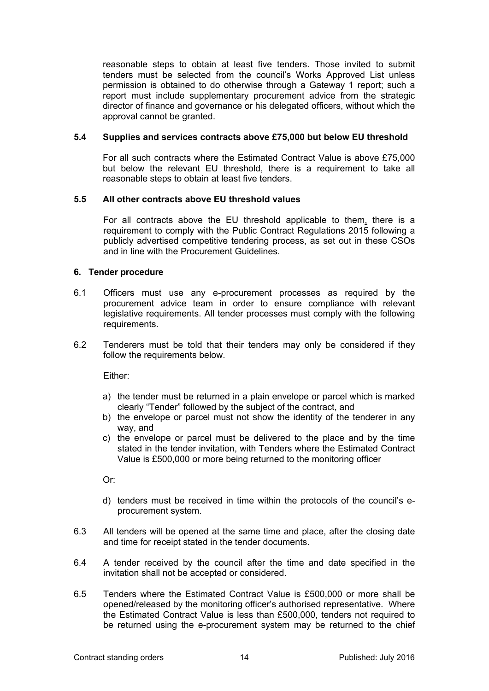reasonable steps to obtain at least five tenders. Those invited to submit tenders must be selected from the council's Works Approved List unless permission is obtained to do otherwise through a Gateway 1 report; such a report must include supplementary procurement advice from the strategic director of finance and governance or his delegated officers, without which the approval cannot be granted.

# **5.4 Supplies and services contracts above £75,000 but below EU threshold**

For all such contracts where the Estimated Contract Value is above £75,000 but below the relevant EU threshold, there is a requirement to take all reasonable steps to obtain at least five tenders.

## **5.5 All other contracts above EU threshold values**

For all contracts above the EU threshold applicable to them, there is a requirement to comply with the Public Contract Regulations 2015 following a publicly advertised competitive tendering process, as set out in these CSOs and in line with the Procurement Guidelines.

## **6. Tender procedure**

- 6.1 Officers must use any e-procurement processes as required by the procurement advice team in order to ensure compliance with relevant legislative requirements. All tender processes must comply with the following requirements.
- 6.2 Tenderers must be told that their tenders may only be considered if they follow the requirements below.

Either:

- a) the tender must be returned in a plain envelope or parcel which is marked clearly "Tender" followed by the subject of the contract, and
- b) the envelope or parcel must not show the identity of the tenderer in any way, and
- c) the envelope or parcel must be delivered to the place and by the time stated in the tender invitation, with Tenders where the Estimated Contract Value is £500,000 or more being returned to the monitoring officer

Or:

- d) tenders must be received in time within the protocols of the council's eprocurement system.
- 6.3 All tenders will be opened at the same time and place, after the closing date and time for receipt stated in the tender documents.
- 6.4 A tender received by the council after the time and date specified in the invitation shall not be accepted or considered.
- 6.5 Tenders where the Estimated Contract Value is £500,000 or more shall be opened/released by the monitoring officer's authorised representative. Where the Estimated Contract Value is less than £500,000, tenders not required to be returned using the e-procurement system may be returned to the chief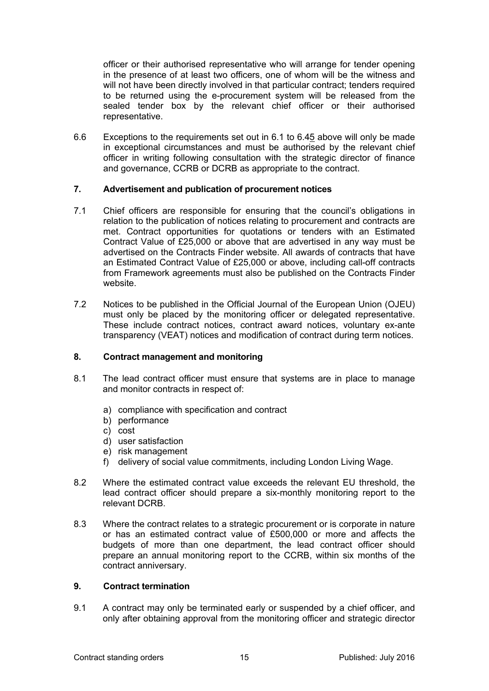officer or their authorised representative who will arrange for tender opening in the presence of at least two officers, one of whom will be the witness and will not have been directly involved in that particular contract; tenders required to be returned using the e-procurement system will be released from the sealed tender box by the relevant chief officer or their authorised representative.

6.6 Exceptions to the requirements set out in 6.1 to 6.45 above will only be made in exceptional circumstances and must be authorised by the relevant chief officer in writing following consultation with the strategic director of finance and governance, CCRB or DCRB as appropriate to the contract.

# **7. Advertisement and publication of procurement notices**

- 7.1 Chief officers are responsible for ensuring that the council's obligations in relation to the publication of notices relating to procurement and contracts are met. Contract opportunities for quotations or tenders with an Estimated Contract Value of £25,000 or above that are advertised in any way must be advertised on the Contracts Finder website. All awards of contracts that have an Estimated Contract Value of £25,000 or above, including call-off contracts from Framework agreements must also be published on the Contracts Finder website.
- 7.2 Notices to be published in the Official Journal of the European Union (OJEU) must only be placed by the monitoring officer or delegated representative. These include contract notices, contract award notices, voluntary ex-ante transparency (VEAT) notices and modification of contract during term notices.

## **8. Contract management and monitoring**

- 8.1 The lead contract officer must ensure that systems are in place to manage and monitor contracts in respect of:
	- a) compliance with specification and contract
	- b) performance
	- c) cost
	- d) user satisfaction
	- e) risk management
	- f) delivery of social value commitments, including London Living Wage.
- 8.2 Where the estimated contract value exceeds the relevant EU threshold, the lead contract officer should prepare a six-monthly monitoring report to the relevant DCRB.
- 8.3 Where the contract relates to a strategic procurement or is corporate in nature or has an estimated contract value of £500,000 or more and affects the budgets of more than one department, the lead contract officer should prepare an annual monitoring report to the CCRB, within six months of the contract anniversary.

#### **9. Contract termination**

9.1 A contract may only be terminated early or suspended by a chief officer, and only after obtaining approval from the monitoring officer and strategic director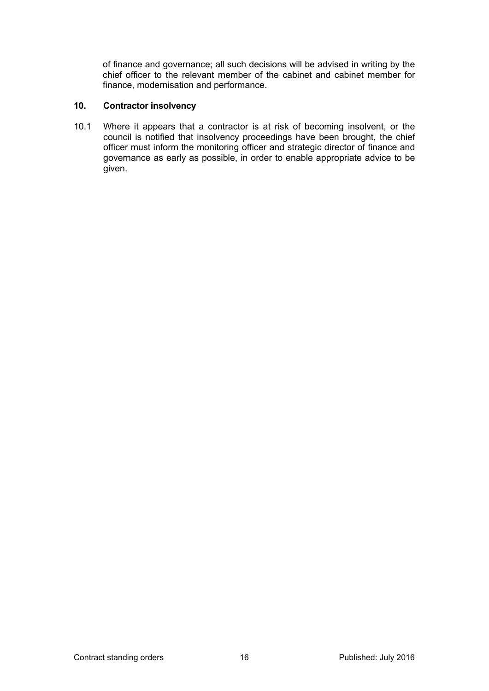of finance and governance; all such decisions will be advised in writing by the chief officer to the relevant member of the cabinet and cabinet member for finance, modernisation and performance.

# **10. Contractor insolvency**

10.1 Where it appears that a contractor is at risk of becoming insolvent, or the council is notified that insolvency proceedings have been brought, the chief officer must inform the monitoring officer and strategic director of finance and governance as early as possible, in order to enable appropriate advice to be given.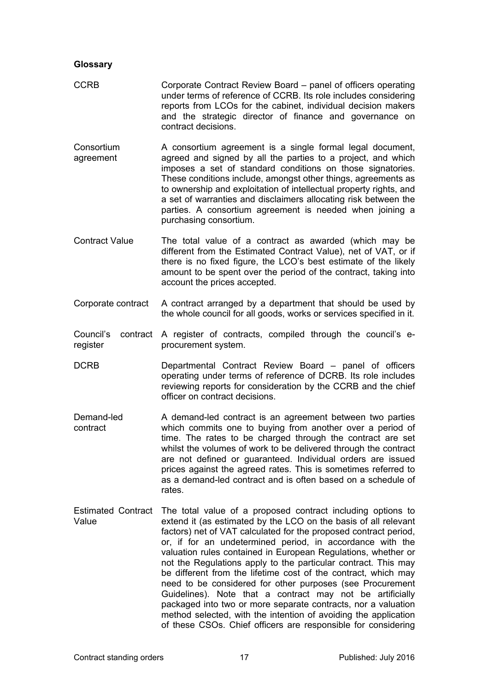## **Glossary**

- CCRB Corporate Contract Review Board panel of officers operating under terms of reference of CCRB. Its role includes considering reports from LCOs for the cabinet, individual decision makers and the strategic director of finance and governance on contract decisions.
- **Consortium** agreement A consortium agreement is a single formal legal document, agreed and signed by all the parties to a project, and which imposes a set of standard conditions on those signatories. These conditions include, amongst other things, agreements as to ownership and exploitation of intellectual property rights, and a set of warranties and disclaimers allocating risk between the parties. A consortium agreement is needed when joining a purchasing consortium.
- Contract Value The total value of a contract as awarded (which may be different from the Estimated Contract Value), net of VAT, or if there is no fixed figure, the LCO's best estimate of the likely amount to be spent over the period of the contract, taking into account the prices accepted.
- Corporate contract A contract arranged by a department that should be used by the whole council for all goods, works or services specified in it.
- Council's contract A register of contracts, compiled through the council's eregister procurement system.
- DCRB Departmental Contract Review Board panel of officers operating under terms of reference of DCRB. Its role includes reviewing reports for consideration by the CCRB and the chief officer on contract decisions.
- Demand-led contract A demand-led contract is an agreement between two parties which commits one to buying from another over a period of time. The rates to be charged through the contract are set whilst the volumes of work to be delivered through the contract are not defined or guaranteed. Individual orders are issued prices against the agreed rates. This is sometimes referred to as a demand-led contract and is often based on a schedule of rates.
- Estimated Contract The total value of a proposed contract including options to Value extend it (as estimated by the LCO on the basis of all relevant factors) net of VAT calculated for the proposed contract period, or, if for an undetermined period, in accordance with the valuation rules contained in European Regulations, whether or not the Regulations apply to the particular contract. This may be different from the lifetime cost of the contract, which may need to be considered for other purposes (see Procurement Guidelines). Note that a contract may not be artificially packaged into two or more separate contracts, nor a valuation method selected, with the intention of avoiding the application of these CSOs. Chief officers are responsible for considering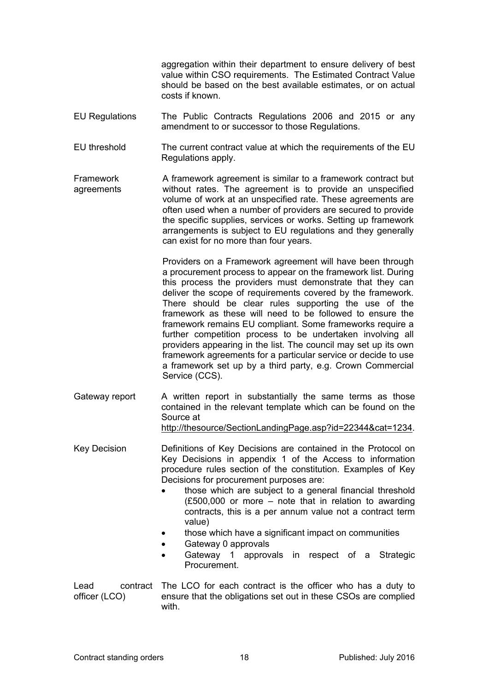aggregation within their department to ensure delivery of best value within CSO requirements. The Estimated Contract Value should be based on the best available estimates, or on actual costs if known.

- EU Regulations The Public Contracts Regulations 2006 and 2015 or any amendment to or successor to those Regulations.
- EU threshold The current contract value at which the requirements of the EU Regulations apply.
- Framework agreements A framework agreement is similar to a framework contract but without rates. The agreement is to provide an unspecified volume of work at an unspecified rate. These agreements are often used when a number of providers are secured to provide the specific supplies, services or works. Setting up framework arrangements is subject to EU regulations and they generally can exist for no more than four years.

Providers on a Framework agreement will have been through a procurement process to appear on the framework list. During this process the providers must demonstrate that they can deliver the scope of requirements covered by the framework. There should be clear rules supporting the use of the framework as these will need to be followed to ensure the framework remains EU compliant. Some frameworks require a further competition process to be undertaken involving all providers appearing in the list. The council may set up its own framework agreements for a particular service or decide to use a framework set up by a third party, e.g. Crown Commercial Service (CCS).

Gateway report A written report in substantially the same terms as those contained in the relevant template which can be found on the Source at <http://thesource/SectionLandingPage.asp?id=22344&cat=1234>.

Key Decision **Definitions of Key Decisions are contained in the Protocol on** Key Decisions in appendix 1 of the Access to information procedure rules section of the constitution. Examples of Key Decisions for procurement purposes are:

- those which are subject to a general financial threshold (£500,000 or more – note that in relation to awarding contracts, this is a per annum value not a contract term value)
- those which have a significant impact on communities
- Gateway 0 approvals
- Gateway 1 approvals in respect of a Strategic Procurement.
- Lead contract The LCO for each contract is the officer who has a duty to officer (LCO) ensure that the obligations set out in these CSOs are complied with.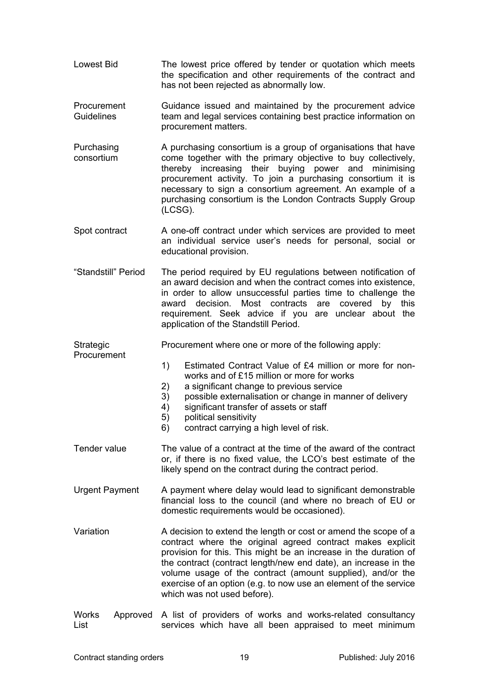- Lowest Bid The lowest price offered by tender or quotation which meets the specification and other requirements of the contract and has not been rejected as abnormally low.
- **Procurement** Guidelines Guidance issued and maintained by the procurement advice team and legal services containing best practice information on procurement matters.
- Purchasing consortium A purchasing consortium is a group of organisations that have come together with the primary objective to buy collectively, thereby increasing their buying power and minimising procurement activity. To join a purchasing consortium it is necessary to sign a consortium agreement. An example of a purchasing consortium is the London Contracts Supply Group (LCSG).
- Spot contract A one-off contract under which services are provided to meet an individual service user's needs for personal, social or educational provision.
- "Standstill" Period The period required by EU regulations between notification of an award decision and when the contract comes into existence, in order to allow unsuccessful parties time to challenge the award decision. Most contracts are covered by this requirement. Seek advice if you are unclear about the application of the Standstill Period.

**Strategic** Procurement

> 1) Estimated Contract Value of £4 million or more for nonworks and of £15 million or more for works

Procurement where one or more of the following apply:

- 2) a significant change to previous service
- 3) possible externalisation or change in manner of delivery
- 4) significant transfer of assets or staff
	- 5) political sensitivity
- 6) contract carrying a high level of risk.
- Tender value The value of a contract at the time of the award of the contract or, if there is no fixed value, the LCO's best estimate of the likely spend on the contract during the contract period.
- Urgent Payment A payment where delay would lead to significant demonstrable financial loss to the council (and where no breach of EU or domestic requirements would be occasioned).
- Variation A decision to extend the length or cost or amend the scope of a contract where the original agreed contract makes explicit provision for this. This might be an increase in the duration of the contract (contract length/new end date), an increase in the volume usage of the contract (amount supplied), and/or the exercise of an option (e.g. to now use an element of the service which was not used before).
- Works Approved A list of providers of works and works-related consultancy List services which have all been appraised to meet minimum